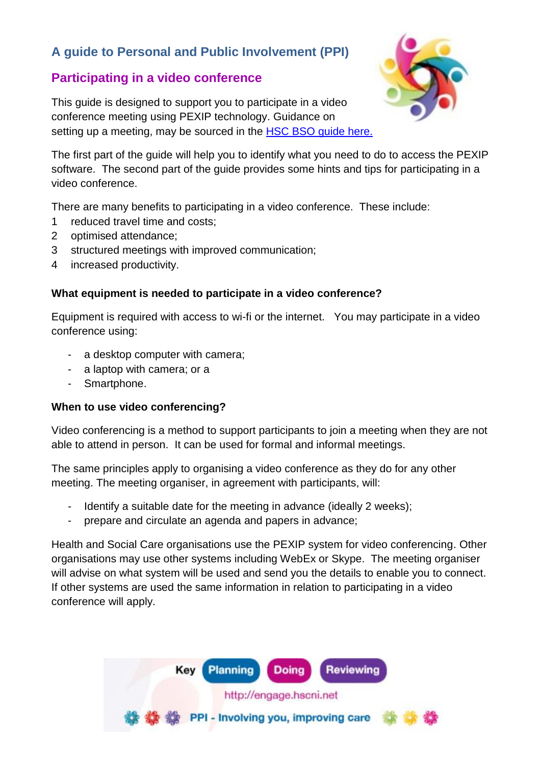# **A guide to Personal and Public Involvement (PPI)**

## **Participating in a video conference**

This guide is designed to support you to participate in a video conference meeting using PEXIP technology. Guidance on setting up a meeting, may be sourced in the **HSC [BSO guide](http://engage.hscni.net/wp-content/uploads/2020/04/Pexip_Mar2020.pdf) here.** 



The first part of the guide will help you to identify what you need to do to access the PEXIP software. The second part of the guide provides some hints and tips for participating in a video conference.

There are many benefits to participating in a video conference. These include:

- 1 reduced travel time and costs;
- 2 optimised attendance;
- 3 structured meetings with improved communication;
- 4 increased productivity.

#### **What equipment is needed to participate in a video conference?**

Equipment is required with access to wi-fi or the internet. You may participate in a video conference using:

- a desktop computer with camera;
- a laptop with camera; or a
- Smartphone.

#### **When to use video conferencing?**

Video conferencing is a method to support participants to join a meeting when they are not able to attend in person. It can be used for formal and informal meetings.

The same principles apply to organising a video conference as they do for any other meeting. The meeting organiser, in agreement with participants, will:

- Identify a suitable date for the meeting in advance (ideally 2 weeks);
- prepare and circulate an agenda and papers in advance;

Health and Social Care organisations use the PEXIP system for video conferencing. Other organisations may use other systems including WebEx or Skype. The meeting organiser will advise on what system will be used and send you the details to enable you to connect. If other systems are used the same information in relation to participating in a video conference will apply.